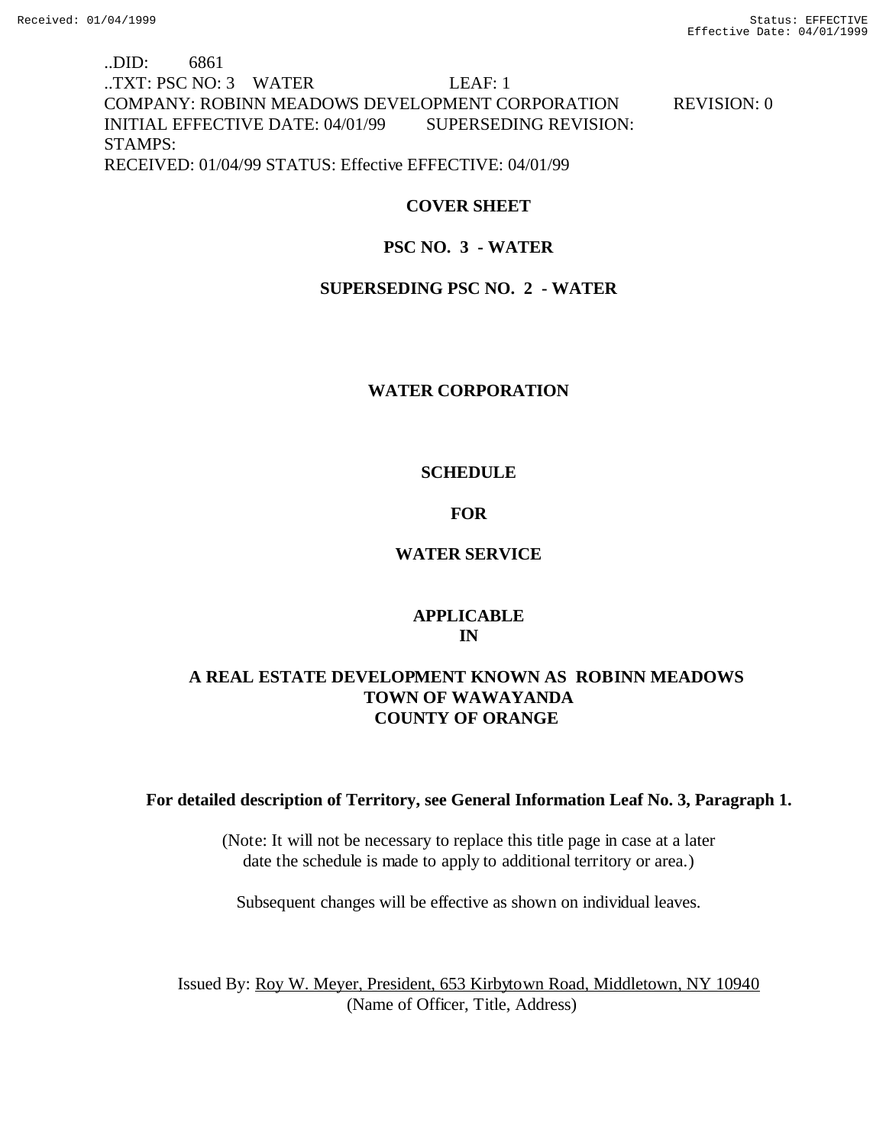### ..DID: 6861 ..TXT: PSC NO: 3 WATER LEAF: 1 COMPANY: ROBINN MEADOWS DEVELOPMENT CORPORATION REVISION: 0 INITIAL EFFECTIVE DATE: 04/01/99 SUPERSEDING REVISION: STAMPS: RECEIVED: 01/04/99 STATUS: Effective EFFECTIVE: 04/01/99

### **COVER SHEET**

### **PSC NO. 3 - WATER**

### **SUPERSEDING PSC NO. 2 - WATER**

### **WATER CORPORATION**

### **SCHEDULE**

### **FOR**

### **WATER SERVICE**

### **APPLICABLE IN**

### **A REAL ESTATE DEVELOPMENT KNOWN AS ROBINN MEADOWS TOWN OF WAWAYANDA COUNTY OF ORANGE**

### **For detailed description of Territory, see General Information Leaf No. 3, Paragraph 1.**

(Note: It will not be necessary to replace this title page in case at a later date the schedule is made to apply to additional territory or area.)

Subsequent changes will be effective as shown on individual leaves.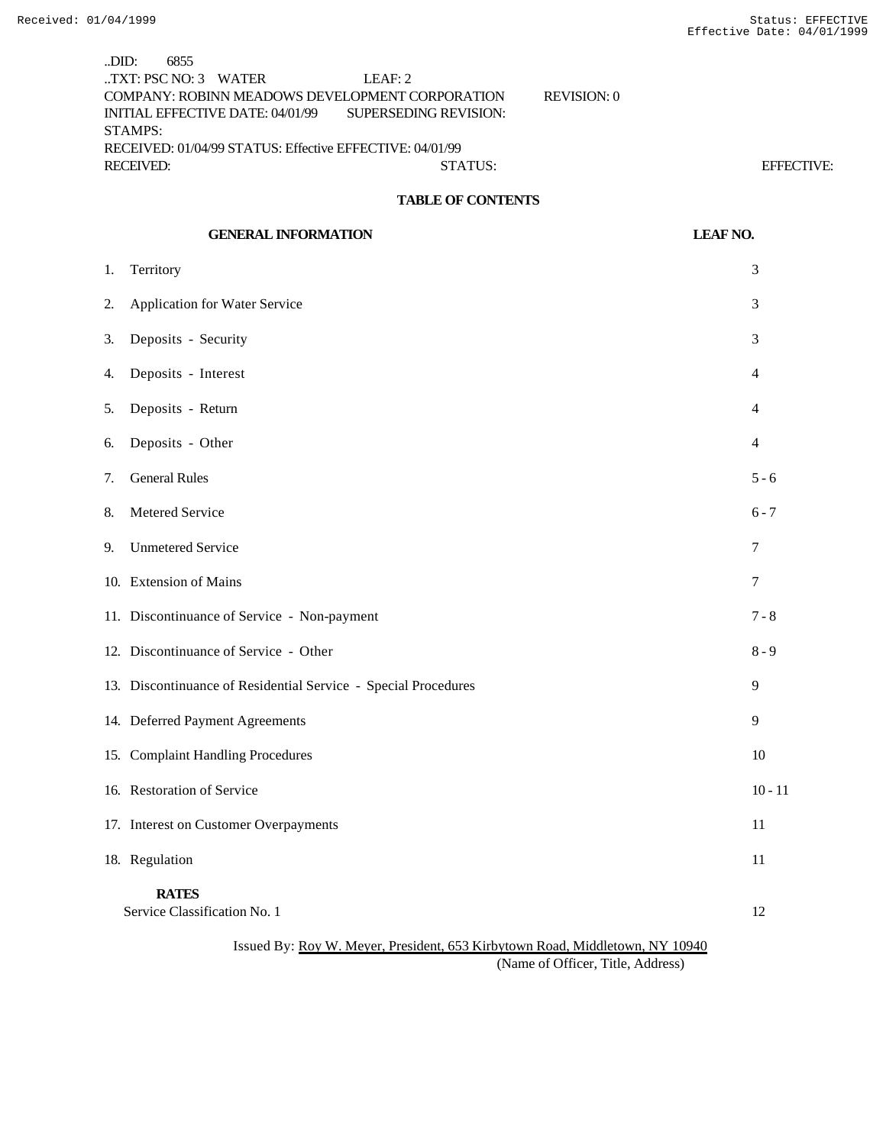..DID: 6855 ..TXT: PSC NO: 3 WATER LEAF: 2 COMPANY: ROBINN MEADOWS DEVELOPMENT CORPORATION REVISION: 0 INITIAL EFFECTIVE DATE: 04/01/99 SUPERSEDING REVISION: STAMPS: RECEIVED: 01/04/99 STATUS: Effective EFFECTIVE: 04/01/99 RECEIVED: STATUS: EFFECTIVE:

### **TABLE OF CONTENTS**

|                                                                              | <b>GENERAL INFORMATION</b>                                     | <b>LEAF NO.</b> |
|------------------------------------------------------------------------------|----------------------------------------------------------------|-----------------|
| 1.                                                                           | Territory                                                      | 3               |
| 2.                                                                           | Application for Water Service                                  | 3               |
| 3.                                                                           | Deposits - Security                                            | 3               |
| 4.                                                                           | Deposits - Interest                                            | 4               |
| 5.                                                                           | Deposits - Return                                              | 4               |
| 6.                                                                           | Deposits - Other                                               | $\overline{4}$  |
| 7.                                                                           | <b>General Rules</b>                                           | $5 - 6$         |
| 8.                                                                           | Metered Service                                                | $6 - 7$         |
| 9.                                                                           | <b>Unmetered Service</b>                                       | 7               |
|                                                                              | 10. Extension of Mains                                         | $\tau$          |
|                                                                              | 11. Discontinuance of Service - Non-payment                    | $7 - 8$         |
|                                                                              | 12. Discontinuance of Service - Other                          | $8 - 9$         |
|                                                                              | 13. Discontinuance of Residential Service - Special Procedures | 9               |
|                                                                              | 14. Deferred Payment Agreements                                | 9               |
|                                                                              | 15. Complaint Handling Procedures                              | 10              |
|                                                                              | 16. Restoration of Service                                     | $10 - 11$       |
|                                                                              | 17. Interest on Customer Overpayments                          | 11              |
|                                                                              | 18. Regulation                                                 | 11              |
|                                                                              | <b>RATES</b><br>Service Classification No. 1                   | 12              |
| Issued By: Roy W. Meyer, President, 653 Kirbytown Road, Middletown, NY 10940 |                                                                |                 |

(Name of Officer, Title, Address)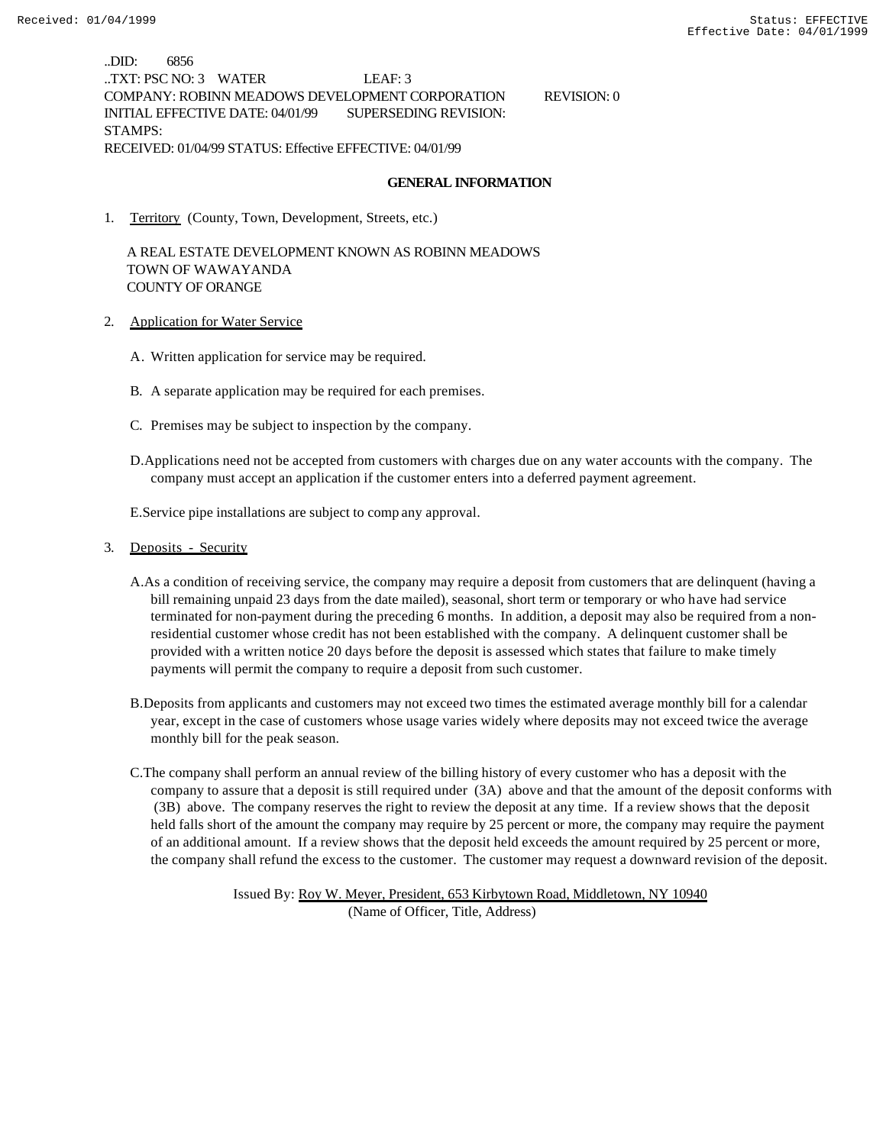..DID: 6856 ..TXT: PSC NO: 3 WATER LEAF: 3 COMPANY: ROBINN MEADOWS DEVELOPMENT CORPORATION REVISION: 0 INITIAL EFFECTIVE DATE: 04/01/99 SUPERSEDING REVISION: STAMPS: RECEIVED: 01/04/99 STATUS: Effective EFFECTIVE: 04/01/99

#### **GENERAL INFORMATION**

1. Territory (County, Town, Development, Streets, etc.)

 A REAL ESTATE DEVELOPMENT KNOWN AS ROBINN MEADOWS TOWN OF WAWAYANDA COUNTY OF ORANGE

- 2. Application for Water Service
	- A. Written application for service may be required.
	- B. A separate application may be required for each premises.
	- C. Premises may be subject to inspection by the company.
	- D.Applications need not be accepted from customers with charges due on any water accounts with the company. The company must accept an application if the customer enters into a deferred payment agreement.

E.Service pipe installations are subject to comp any approval.

- 3. Deposits Security
	- A.As a condition of receiving service, the company may require a deposit from customers that are delinquent (having a bill remaining unpaid 23 days from the date mailed), seasonal, short term or temporary or who have had service terminated for non-payment during the preceding 6 months. In addition, a deposit may also be required from a nonresidential customer whose credit has not been established with the company. A delinquent customer shall be provided with a written notice 20 days before the deposit is assessed which states that failure to make timely payments will permit the company to require a deposit from such customer.
	- B.Deposits from applicants and customers may not exceed two times the estimated average monthly bill for a calendar year, except in the case of customers whose usage varies widely where deposits may not exceed twice the average monthly bill for the peak season.
	- C.The company shall perform an annual review of the billing history of every customer who has a deposit with the company to assure that a deposit is still required under (3A) above and that the amount of the deposit conforms with (3B) above. The company reserves the right to review the deposit at any time. If a review shows that the deposit held falls short of the amount the company may require by 25 percent or more, the company may require the payment of an additional amount. If a review shows that the deposit held exceeds the amount required by 25 percent or more, the company shall refund the excess to the customer. The customer may request a downward revision of the deposit.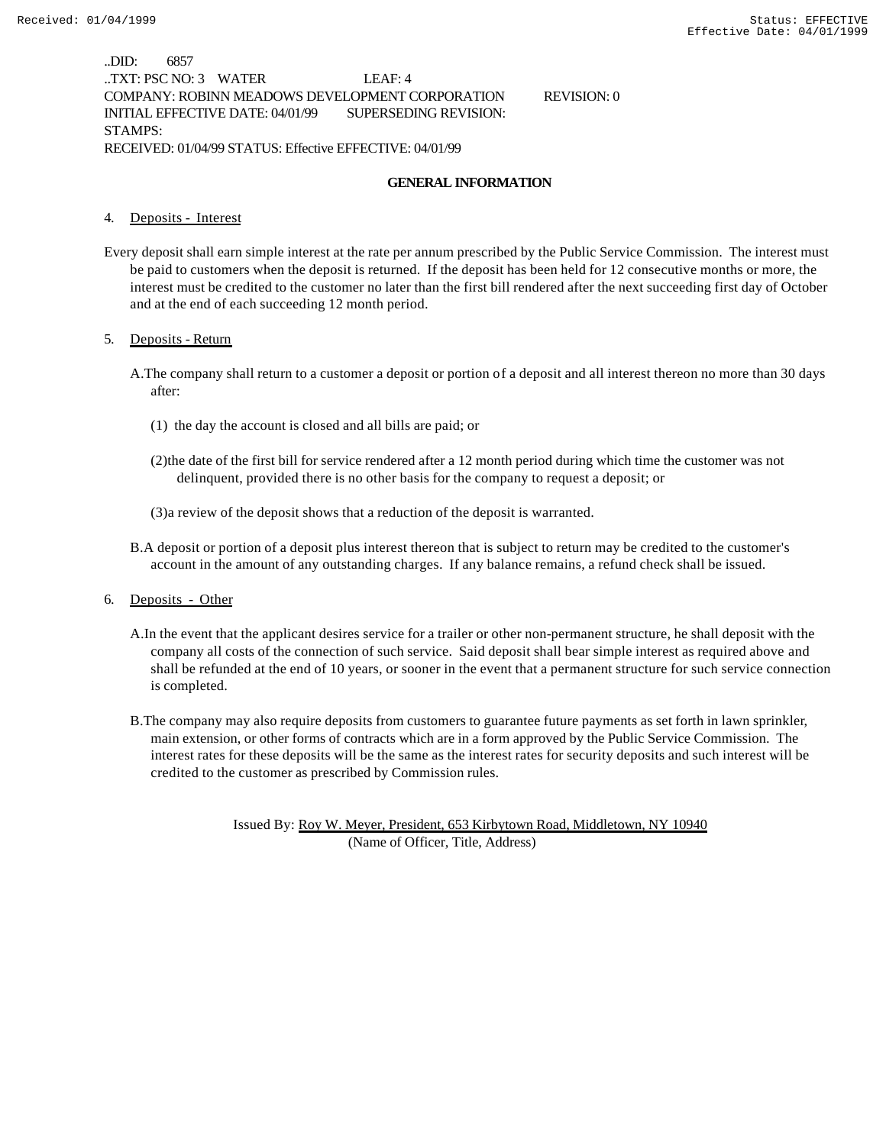..DID: 6857 ..TXT: PSC NO: 3 WATER LEAF: 4 COMPANY: ROBINN MEADOWS DEVELOPMENT CORPORATION REVISION: 0 INITIAL EFFECTIVE DATE: 04/01/99 SUPERSEDING REVISION: STAMPS: RECEIVED: 01/04/99 STATUS: Effective EFFECTIVE: 04/01/99

#### **GENERAL INFORMATION**

#### 4. Deposits - Interest

Every deposit shall earn simple interest at the rate per annum prescribed by the Public Service Commission. The interest must be paid to customers when the deposit is returned. If the deposit has been held for 12 consecutive months or more, the interest must be credited to the customer no later than the first bill rendered after the next succeeding first day of October and at the end of each succeeding 12 month period.

#### 5. Deposits - Return

- A.The company shall return to a customer a deposit or portion of a deposit and all interest thereon no more than 30 days after:
	- (1) the day the account is closed and all bills are paid; or
	- (2)the date of the first bill for service rendered after a 12 month period during which time the customer was not delinquent, provided there is no other basis for the company to request a deposit; or
	- (3)a review of the deposit shows that a reduction of the deposit is warranted.
- B.A deposit or portion of a deposit plus interest thereon that is subject to return may be credited to the customer's account in the amount of any outstanding charges. If any balance remains, a refund check shall be issued.
- 6. Deposits Other
	- A.In the event that the applicant desires service for a trailer or other non-permanent structure, he shall deposit with the company all costs of the connection of such service. Said deposit shall bear simple interest as required above and shall be refunded at the end of 10 years, or sooner in the event that a permanent structure for such service connection is completed.
	- B.The company may also require deposits from customers to guarantee future payments as set forth in lawn sprinkler, main extension, or other forms of contracts which are in a form approved by the Public Service Commission. The interest rates for these deposits will be the same as the interest rates for security deposits and such interest will be credited to the customer as prescribed by Commission rules.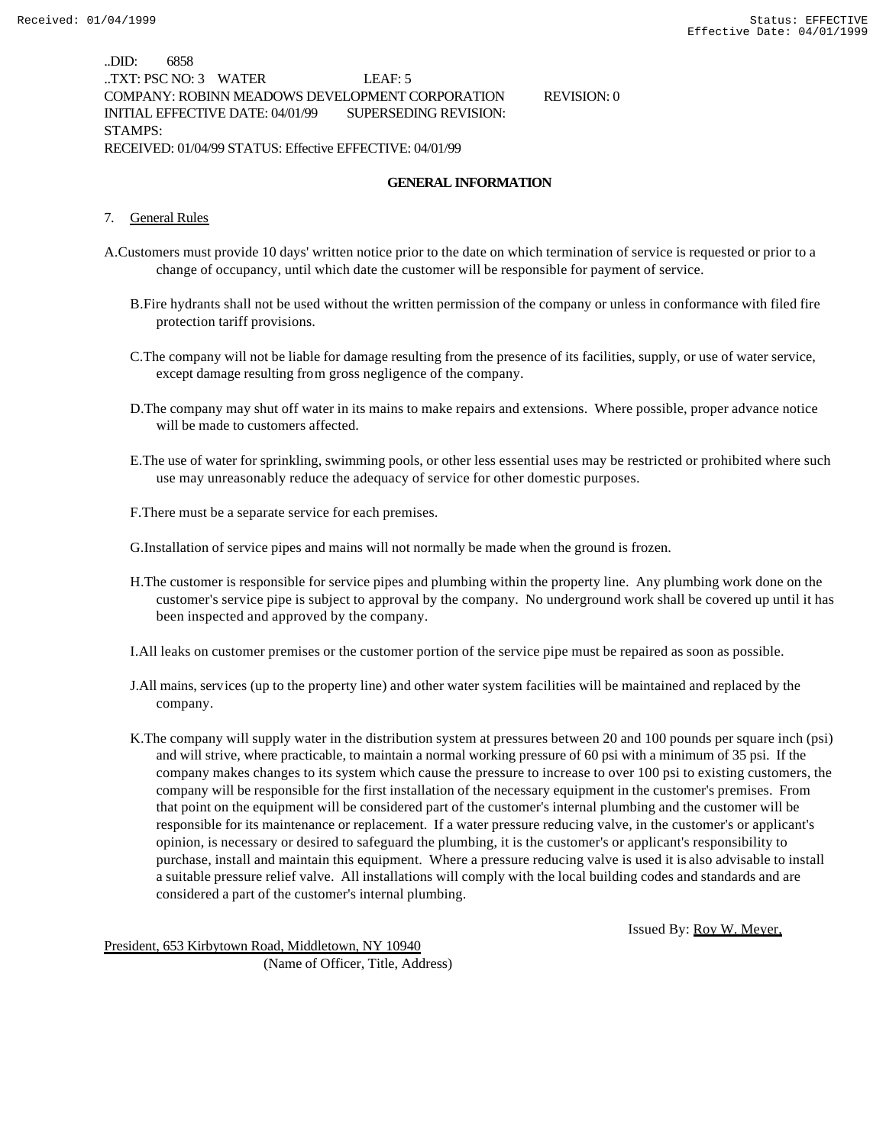..DID: 6858 ..TXT: PSC NO: 3 WATER LEAF: 5 COMPANY: ROBINN MEADOWS DEVELOPMENT CORPORATION REVISION: 0 INITIAL EFFECTIVE DATE: 04/01/99 SUPERSEDING REVISION: STAMPS: RECEIVED: 01/04/99 STATUS: Effective EFFECTIVE: 04/01/99

# **GENERAL INFORMATION**

#### 7. General Rules

- A.Customers must provide 10 days' written notice prior to the date on which termination of service is requested or prior to a change of occupancy, until which date the customer will be responsible for payment of service.
	- B.Fire hydrants shall not be used without the written permission of the company or unless in conformance with filed fire protection tariff provisions.
	- C.The company will not be liable for damage resulting from the presence of its facilities, supply, or use of water service, except damage resulting from gross negligence of the company.
	- D.The company may shut off water in its mains to make repairs and extensions. Where possible, proper advance notice will be made to customers affected.
	- E.The use of water for sprinkling, swimming pools, or other less essential uses may be restricted or prohibited where such use may unreasonably reduce the adequacy of service for other domestic purposes.
	- F.There must be a separate service for each premises.

G.Installation of service pipes and mains will not normally be made when the ground is frozen.

H.The customer is responsible for service pipes and plumbing within the property line. Any plumbing work done on the customer's service pipe is subject to approval by the company. No underground work shall be covered up until it has been inspected and approved by the company.

I.All leaks on customer premises or the customer portion of the service pipe must be repaired as soon as possible.

- J.All mains, services (up to the property line) and other water system facilities will be maintained and replaced by the company.
- K.The company will supply water in the distribution system at pressures between 20 and 100 pounds per square inch (psi) and will strive, where practicable, to maintain a normal working pressure of 60 psi with a minimum of 35 psi. If the company makes changes to its system which cause the pressure to increase to over 100 psi to existing customers, the company will be responsible for the first installation of the necessary equipment in the customer's premises. From that point on the equipment will be considered part of the customer's internal plumbing and the customer will be responsible for its maintenance or replacement. If a water pressure reducing valve, in the customer's or applicant's opinion, is necessary or desired to safeguard the plumbing, it is the customer's or applicant's responsibility to purchase, install and maintain this equipment. Where a pressure reducing valve is used it is also advisable to install a suitable pressure relief valve. All installations will comply with the local building codes and standards and are considered a part of the customer's internal plumbing.

Issued By: Roy W. Meyer,

President, 653 Kirbytown Road, Middletown, NY 10940 (Name of Officer, Title, Address)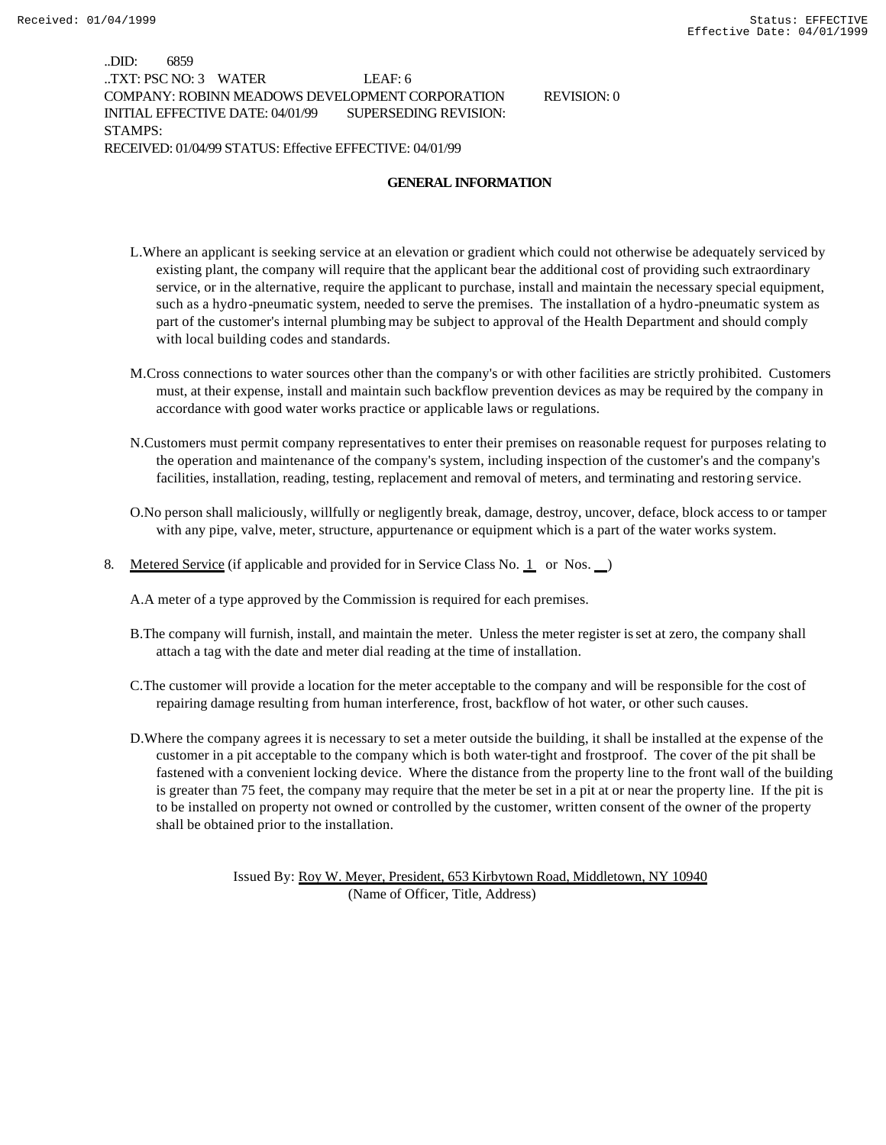..DID: 6859 ..TXT: PSC NO: 3 WATER LEAF: 6 COMPANY: ROBINN MEADOWS DEVELOPMENT CORPORATION REVISION: 0 INITIAL EFFECTIVE DATE: 04/01/99 SUPERSEDING REVISION: STAMPS: RECEIVED: 01/04/99 STATUS: Effective EFFECTIVE: 04/01/99

#### **GENERAL INFORMATION**

- L.Where an applicant is seeking service at an elevation or gradient which could not otherwise be adequately serviced by existing plant, the company will require that the applicant bear the additional cost of providing such extraordinary service, or in the alternative, require the applicant to purchase, install and maintain the necessary special equipment, such as a hydro-pneumatic system, needed to serve the premises. The installation of a hydro-pneumatic system as part of the customer's internal plumbing may be subject to approval of the Health Department and should comply with local building codes and standards.
- M.Cross connections to water sources other than the company's or with other facilities are strictly prohibited. Customers must, at their expense, install and maintain such backflow prevention devices as may be required by the company in accordance with good water works practice or applicable laws or regulations.
- N.Customers must permit company representatives to enter their premises on reasonable request for purposes relating to the operation and maintenance of the company's system, including inspection of the customer's and the company's facilities, installation, reading, testing, replacement and removal of meters, and terminating and restoring service.
- O.No person shall maliciously, willfully or negligently break, damage, destroy, uncover, deface, block access to or tamper with any pipe, valve, meter, structure, appurtenance or equipment which is a part of the water works system.
- 8. Metered Service (if applicable and provided for in Service Class No. 1 or Nos. )

A.A meter of a type approved by the Commission is required for each premises.

- B.The company will furnish, install, and maintain the meter. Unless the meter register is set at zero, the company shall attach a tag with the date and meter dial reading at the time of installation.
- C.The customer will provide a location for the meter acceptable to the company and will be responsible for the cost of repairing damage resulting from human interference, frost, backflow of hot water, or other such causes.
- D.Where the company agrees it is necessary to set a meter outside the building, it shall be installed at the expense of the customer in a pit acceptable to the company which is both water-tight and frostproof. The cover of the pit shall be fastened with a convenient locking device. Where the distance from the property line to the front wall of the building is greater than 75 feet, the company may require that the meter be set in a pit at or near the property line. If the pit is to be installed on property not owned or controlled by the customer, written consent of the owner of the property shall be obtained prior to the installation.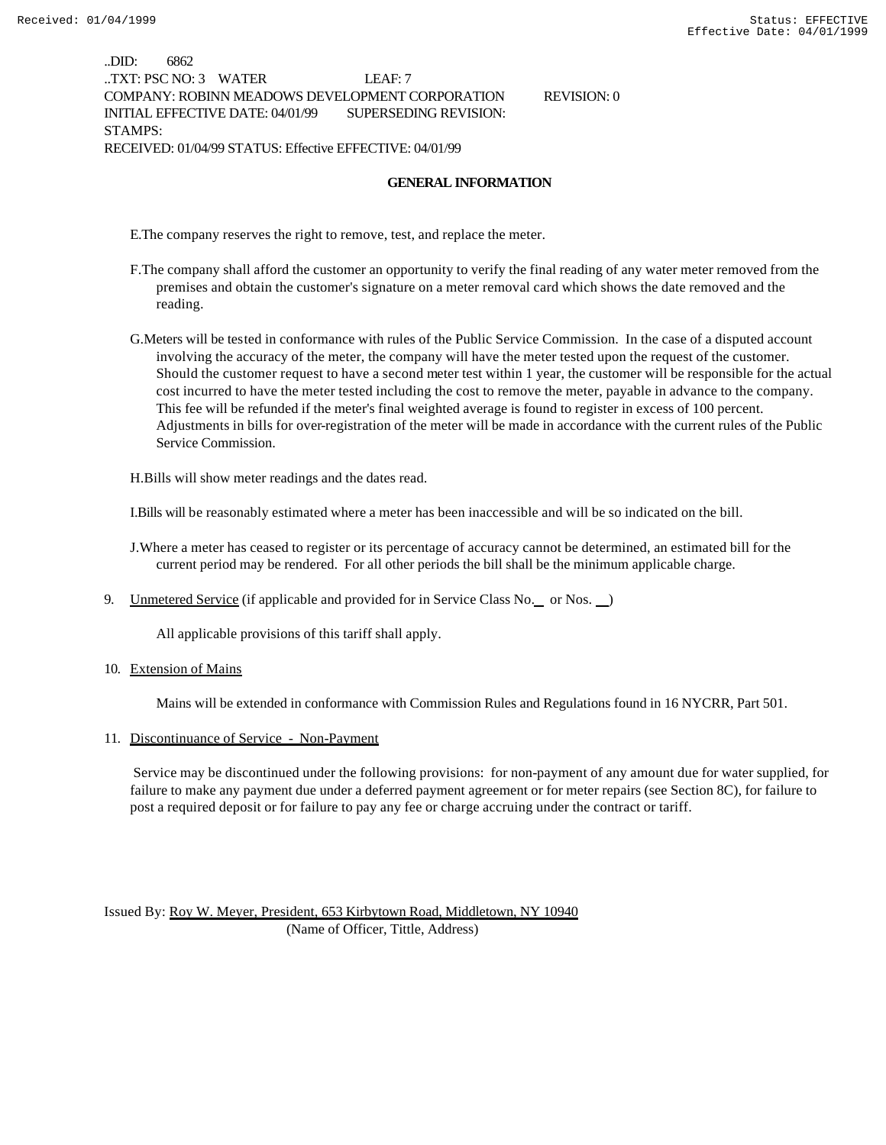..DID: 6862 ..TXT: PSC NO: 3 WATER LEAF: 7 COMPANY: ROBINN MEADOWS DEVELOPMENT CORPORATION REVISION: 0 INITIAL EFFECTIVE DATE: 04/01/99 SUPERSEDING REVISION: STAMPS: RECEIVED: 01/04/99 STATUS: Effective EFFECTIVE: 04/01/99

#### **GENERAL INFORMATION**

E.The company reserves the right to remove, test, and replace the meter.

- F.The company shall afford the customer an opportunity to verify the final reading of any water meter removed from the premises and obtain the customer's signature on a meter removal card which shows the date removed and the reading.
- G.Meters will be tested in conformance with rules of the Public Service Commission. In the case of a disputed account involving the accuracy of the meter, the company will have the meter tested upon the request of the customer. Should the customer request to have a second meter test within 1 year, the customer will be responsible for the actual cost incurred to have the meter tested including the cost to remove the meter, payable in advance to the company. This fee will be refunded if the meter's final weighted average is found to register in excess of 100 percent. Adjustments in bills for over-registration of the meter will be made in accordance with the current rules of the Public Service Commission.

H.Bills will show meter readings and the dates read.

I.Bills will be reasonably estimated where a meter has been inaccessible and will be so indicated on the bill.

J.Where a meter has ceased to register or its percentage of accuracy cannot be determined, an estimated bill for the current period may be rendered. For all other periods the bill shall be the minimum applicable charge.

9. Unmetered Service (if applicable and provided for in Service Class No. \_ or Nos. )

All applicable provisions of this tariff shall apply.

10. Extension of Mains

Mains will be extended in conformance with Commission Rules and Regulations found in 16 NYCRR, Part 501.

#### 11. Discontinuance of Service - Non-Payment

 Service may be discontinued under the following provisions: for non-payment of any amount due for water supplied, for failure to make any payment due under a deferred payment agreement or for meter repairs (see Section 8C), for failure to post a required deposit or for failure to pay any fee or charge accruing under the contract or tariff.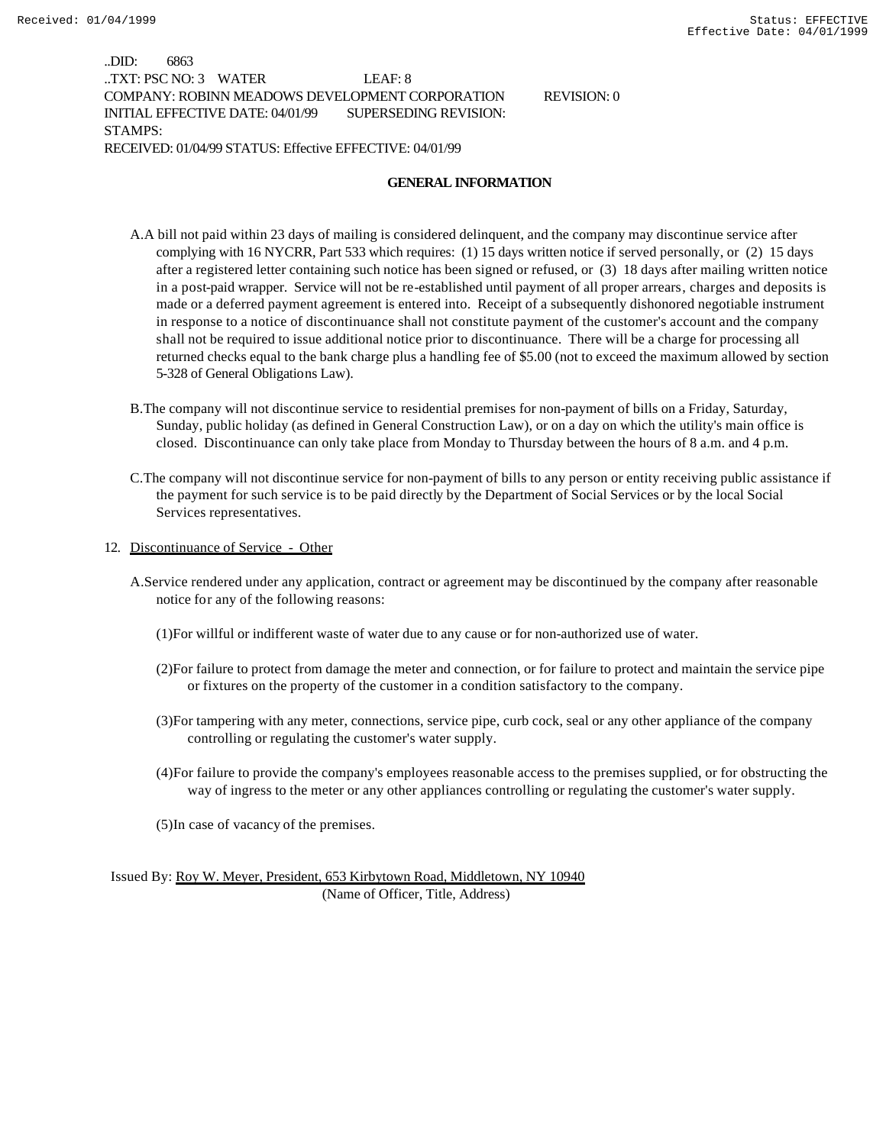..DID: 6863 ..TXT: PSC NO: 3 WATER LEAF: 8 COMPANY: ROBINN MEADOWS DEVELOPMENT CORPORATION REVISION: 0 INITIAL EFFECTIVE DATE: 04/01/99 SUPERSEDING REVISION: STAMPS: RECEIVED: 01/04/99 STATUS: Effective EFFECTIVE: 04/01/99

#### **GENERAL INFORMATION**

- A.A bill not paid within 23 days of mailing is considered delinquent, and the company may discontinue service after complying with 16 NYCRR, Part 533 which requires: (1) 15 days written notice if served personally, or (2) 15 days after a registered letter containing such notice has been signed or refused, or (3) 18 days after mailing written notice in a post-paid wrapper. Service will not be re-established until payment of all proper arrears, charges and deposits is made or a deferred payment agreement is entered into. Receipt of a subsequently dishonored negotiable instrument in response to a notice of discontinuance shall not constitute payment of the customer's account and the company shall not be required to issue additional notice prior to discontinuance. There will be a charge for processing all returned checks equal to the bank charge plus a handling fee of \$5.00 (not to exceed the maximum allowed by section 5-328 of General Obligations Law).
- B.The company will not discontinue service to residential premises for non-payment of bills on a Friday, Saturday, Sunday, public holiday (as defined in General Construction Law), or on a day on which the utility's main office is closed. Discontinuance can only take place from Monday to Thursday between the hours of 8 a.m. and 4 p.m.
- C.The company will not discontinue service for non-payment of bills to any person or entity receiving public assistance if the payment for such service is to be paid directly by the Department of Social Services or by the local Social Services representatives.
- 12. Discontinuance of Service Other
	- A.Service rendered under any application, contract or agreement may be discontinued by the company after reasonable notice for any of the following reasons:
		- (1)For willful or indifferent waste of water due to any cause or for non-authorized use of water.
		- (2)For failure to protect from damage the meter and connection, or for failure to protect and maintain the service pipe or fixtures on the property of the customer in a condition satisfactory to the company.
		- (3)For tampering with any meter, connections, service pipe, curb cock, seal or any other appliance of the company controlling or regulating the customer's water supply.
		- (4)For failure to provide the company's employees reasonable access to the premises supplied, or for obstructing the way of ingress to the meter or any other appliances controlling or regulating the customer's water supply.
		- (5)In case of vacancy of the premises.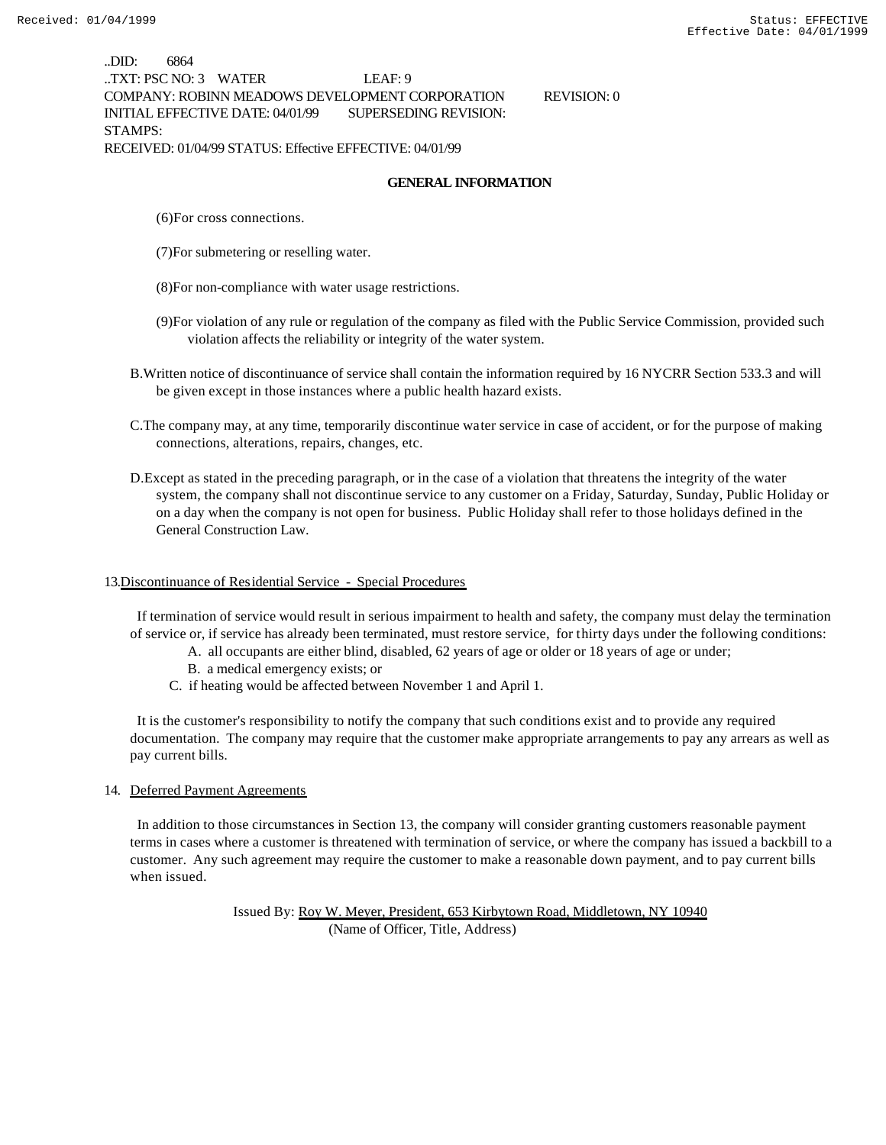..DID: 6864 ..TXT: PSC NO: 3 WATER LEAF: 9 COMPANY: ROBINN MEADOWS DEVELOPMENT CORPORATION REVISION: 0 INITIAL EFFECTIVE DATE: 04/01/99 SUPERSEDING REVISION: STAMPS: RECEIVED: 01/04/99 STATUS: Effective EFFECTIVE: 04/01/99

#### **GENERAL INFORMATION**

(6)For cross connections.

(7)For submetering or reselling water.

(8)For non-compliance with water usage restrictions.

- (9)For violation of any rule or regulation of the company as filed with the Public Service Commission, provided such violation affects the reliability or integrity of the water system.
- B.Written notice of discontinuance of service shall contain the information required by 16 NYCRR Section 533.3 and will be given except in those instances where a public health hazard exists.
- C.The company may, at any time, temporarily discontinue water service in case of accident, or for the purpose of making connections, alterations, repairs, changes, etc.
- D.Except as stated in the preceding paragraph, or in the case of a violation that threatens the integrity of the water system, the company shall not discontinue service to any customer on a Friday, Saturday, Sunday, Public Holiday or on a day when the company is not open for business. Public Holiday shall refer to those holidays defined in the General Construction Law.

#### 13.Discontinuance of Residential Service - Special Procedures

 If termination of service would result in serious impairment to health and safety, the company must delay the termination of service or, if service has already been terminated, must restore service, for thirty days under the following conditions:

- A. all occupants are either blind, disabled, 62 years of age or older or 18 years of age or under;
- B. a medical emergency exists; or
- C. if heating would be affected between November 1 and April 1.

 It is the customer's responsibility to notify the company that such conditions exist and to provide any required documentation. The company may require that the customer make appropriate arrangements to pay any arrears as well as pay current bills.

#### 14. Deferred Payment Agreements

 In addition to those circumstances in Section 13, the company will consider granting customers reasonable payment terms in cases where a customer is threatened with termination of service, or where the company has issued a backbill to a customer. Any such agreement may require the customer to make a reasonable down payment, and to pay current bills when issued.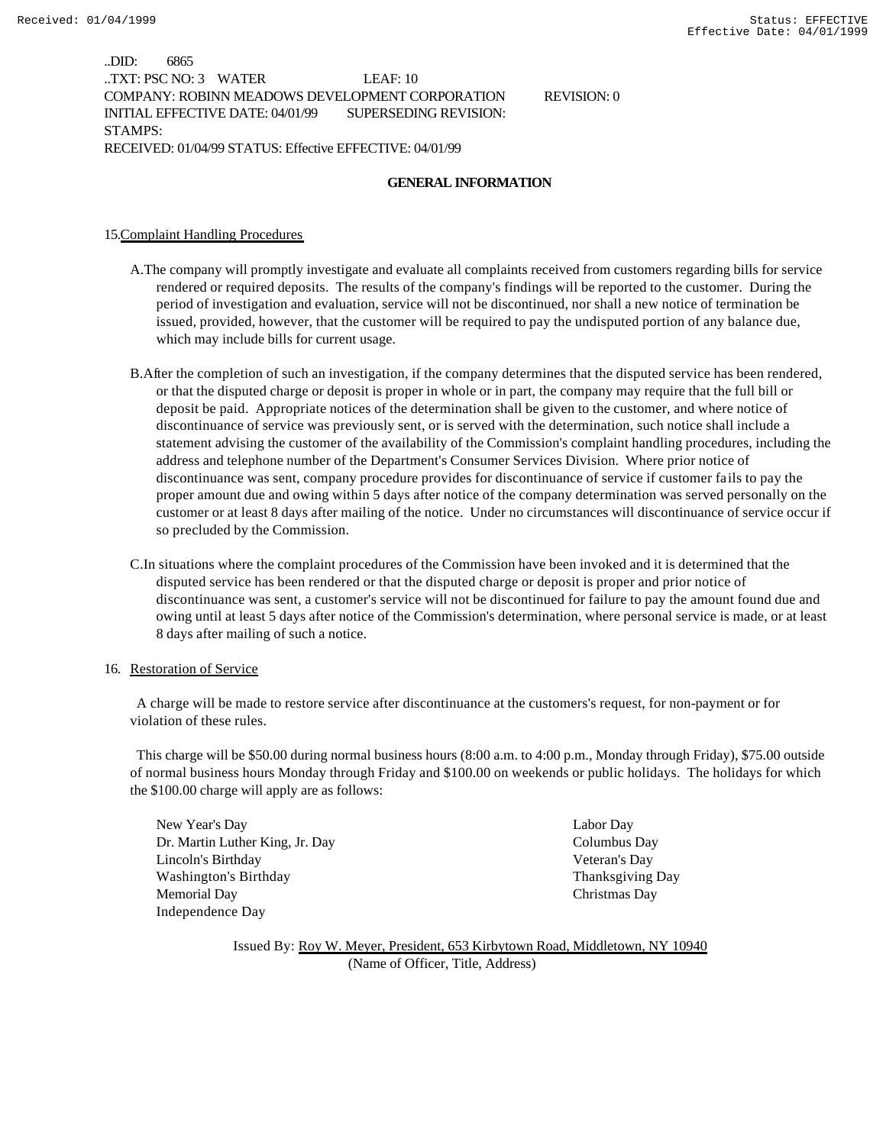..DID: 6865 ..TXT: PSC NO: 3 WATER LEAF: 10 COMPANY: ROBINN MEADOWS DEVELOPMENT CORPORATION REVISION: 0 INITIAL EFFECTIVE DATE: 04/01/99 SUPERSEDING REVISION: STAMPS: RECEIVED: 01/04/99 STATUS: Effective EFFECTIVE: 04/01/99

#### **GENERAL INFORMATION**

15.Complaint Handling Procedures

- A.The company will promptly investigate and evaluate all complaints received from customers regarding bills for service rendered or required deposits. The results of the company's findings will be reported to the customer. During the period of investigation and evaluation, service will not be discontinued, nor shall a new notice of termination be issued, provided, however, that the customer will be required to pay the undisputed portion of any balance due, which may include bills for current usage.
- B.After the completion of such an investigation, if the company determines that the disputed service has been rendered, or that the disputed charge or deposit is proper in whole or in part, the company may require that the full bill or deposit be paid. Appropriate notices of the determination shall be given to the customer, and where notice of discontinuance of service was previously sent, or is served with the determination, such notice shall include a statement advising the customer of the availability of the Commission's complaint handling procedures, including the address and telephone number of the Department's Consumer Services Division. Where prior notice of discontinuance was sent, company procedure provides for discontinuance of service if customer fails to pay the proper amount due and owing within 5 days after notice of the company determination was served personally on the customer or at least 8 days after mailing of the notice. Under no circumstances will discontinuance of service occur if so precluded by the Commission.
- C.In situations where the complaint procedures of the Commission have been invoked and it is determined that the disputed service has been rendered or that the disputed charge or deposit is proper and prior notice of discontinuance was sent, a customer's service will not be discontinued for failure to pay the amount found due and owing until at least 5 days after notice of the Commission's determination, where personal service is made, or at least 8 days after mailing of such a notice.

#### 16. Restoration of Service

 A charge will be made to restore service after discontinuance at the customers's request, for non-payment or for violation of these rules.

 This charge will be \$50.00 during normal business hours (8:00 a.m. to 4:00 p.m., Monday through Friday), \$75.00 outside of normal business hours Monday through Friday and \$100.00 on weekends or public holidays. The holidays for which the \$100.00 charge will apply are as follows:

New Year's Day Labor Day Dr. Martin Luther King, Jr. Day Columbus Day Lincoln's Birthday Veteran's Day Washington's Birthday Thanksgiving Day Memorial Day Christmas Day Independence Day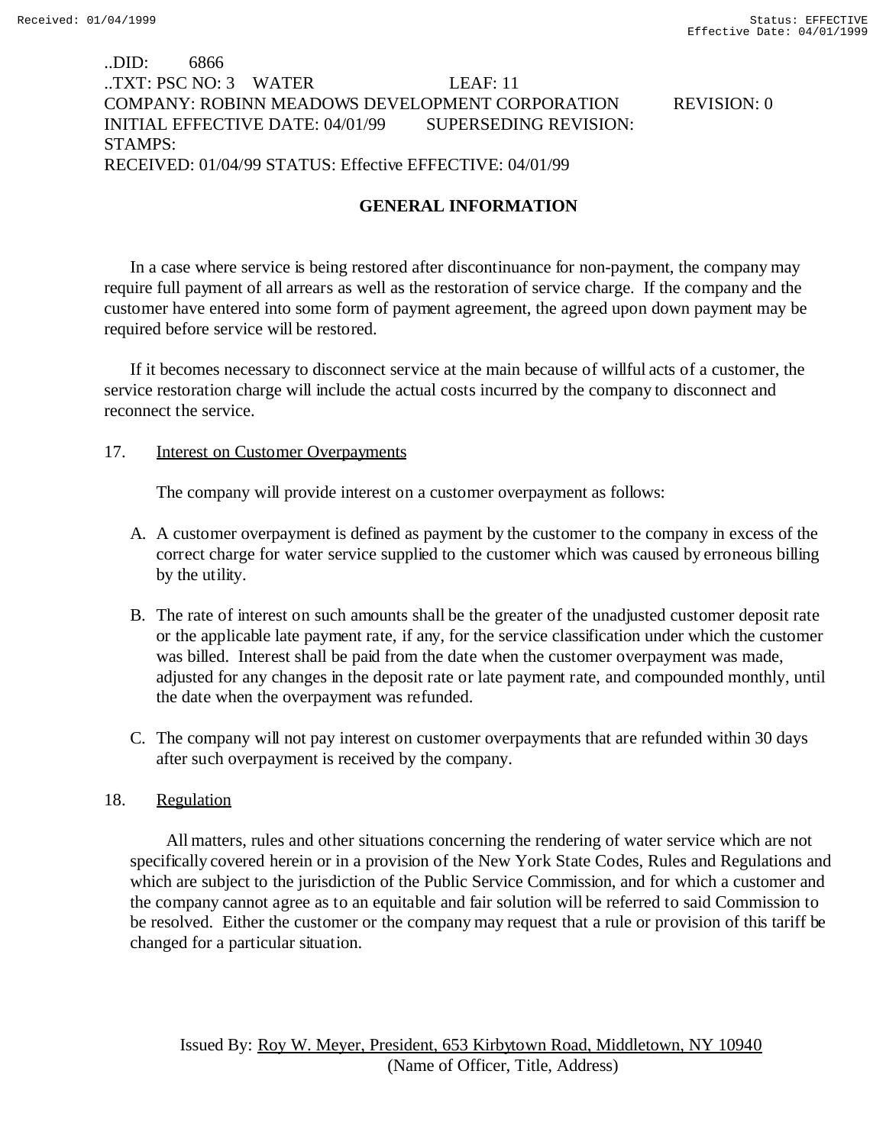### ..DID: 6866 ..TXT: PSC NO: 3 WATER LEAF: 11 COMPANY: ROBINN MEADOWS DEVELOPMENT CORPORATION REVISION: 0 INITIAL EFFECTIVE DATE: 04/01/99 SUPERSEDING REVISION: STAMPS: RECEIVED: 01/04/99 STATUS: Effective EFFECTIVE: 04/01/99

### **GENERAL INFORMATION**

In a case where service is being restored after discontinuance for non-payment, the company may require full payment of all arrears as well as the restoration of service charge. If the company and the customer have entered into some form of payment agreement, the agreed upon down payment may be required before service will be restored.

If it becomes necessary to disconnect service at the main because of willful acts of a customer, the service restoration charge will include the actual costs incurred by the company to disconnect and reconnect the service.

### 17. Interest on Customer Overpayments

The company will provide interest on a customer overpayment as follows:

- A. A customer overpayment is defined as payment by the customer to the company in excess of the correct charge for water service supplied to the customer which was caused by erroneous billing by the utility.
- B. The rate of interest on such amounts shall be the greater of the unadjusted customer deposit rate or the applicable late payment rate, if any, for the service classification under which the customer was billed. Interest shall be paid from the date when the customer overpayment was made, adjusted for any changes in the deposit rate or late payment rate, and compounded monthly, until the date when the overpayment was refunded.
- C. The company will not pay interest on customer overpayments that are refunded within 30 days after such overpayment is received by the company.

### 18. Regulation

 All matters, rules and other situations concerning the rendering of water service which are not specifically covered herein or in a provision of the New York State Codes, Rules and Regulations and which are subject to the jurisdiction of the Public Service Commission, and for which a customer and the company cannot agree as to an equitable and fair solution will be referred to said Commission to be resolved. Either the customer or the company may request that a rule or provision of this tariff be changed for a particular situation.